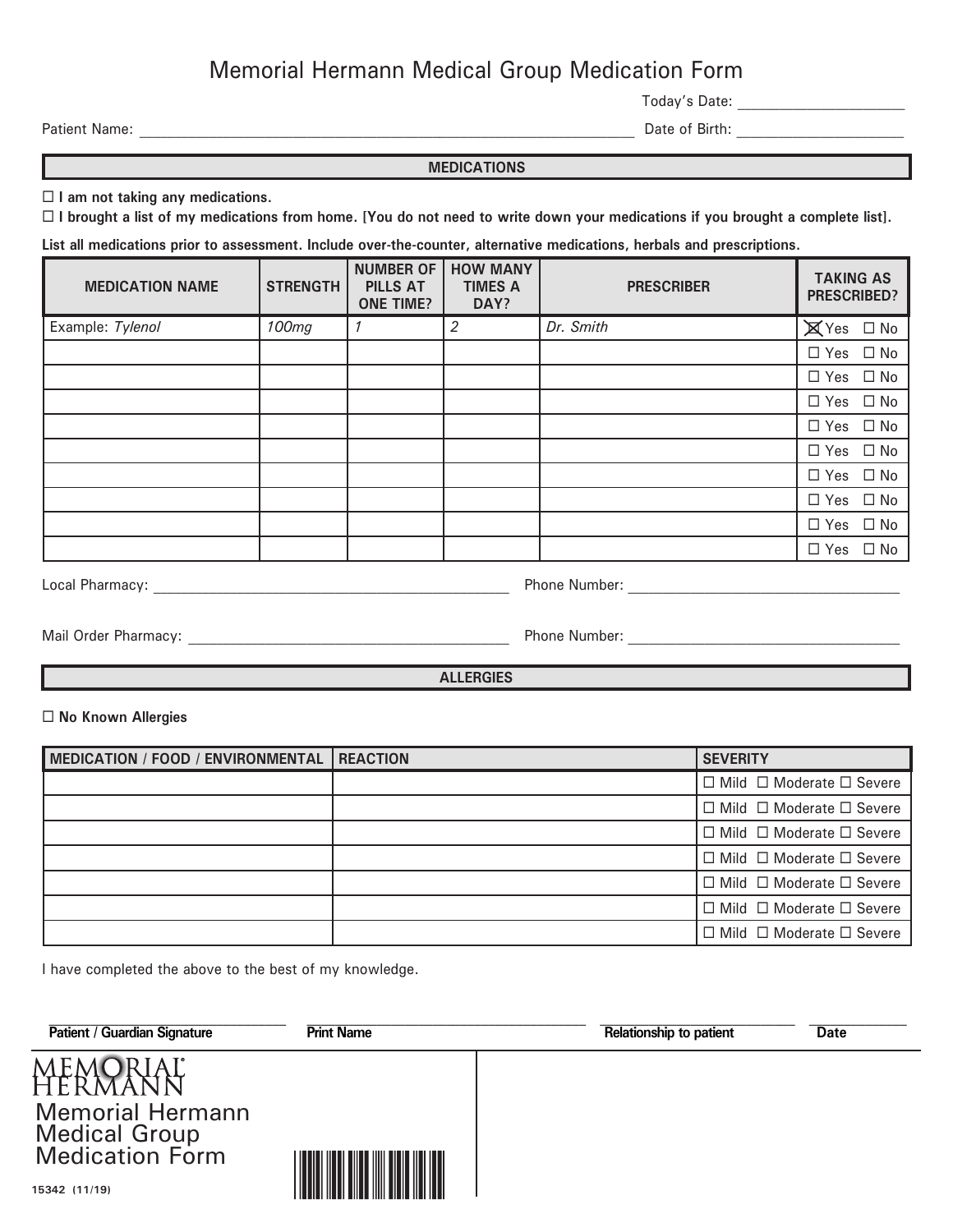## Memorial Hermann Medical Group Medication Form

Today's Date: \_\_\_\_\_\_\_\_\_\_\_\_\_\_\_\_\_\_\_\_\_\_\_\_

Patient Name: \_\_\_\_\_\_\_\_\_\_\_\_\_\_\_\_\_\_\_\_\_\_\_\_\_\_\_\_\_\_\_\_\_\_\_\_\_\_\_\_\_\_\_\_\_\_\_\_\_\_\_\_\_\_\_\_\_\_\_\_\_\_\_\_\_\_\_\_\_\_\_ Date of Birth: \_\_\_\_\_\_\_\_\_\_\_\_\_\_\_\_\_\_\_\_\_\_\_\_

## **MEDICATIONS**

**I am not taking any medications.**

**I brought a list of my medications from home. [You do not need to write down your medications if you brought a complete list].**

**List all medications prior to assessment. Include over-the-counter, alternative medications, herbals and prescriptions.**

| <b>MEDICATION NAME</b> | <b>STRENGTH</b> | <b>NUMBER OF</b><br><b>PILLS AT</b><br><b>ONE TIME?</b> | <b>HOW MANY</b><br><b>TIMES A</b><br>DAY? | <b>PRESCRIBER</b> | <b>TAKING AS</b><br><b>PRESCRIBED?</b> |
|------------------------|-----------------|---------------------------------------------------------|-------------------------------------------|-------------------|----------------------------------------|
| Example: Tylenol       | 100mg           |                                                         | 2                                         | Dr. Smith         | $\boxtimes$ Yes $\Box$ No              |
|                        |                 |                                                         |                                           |                   | $\Box$ Yes $\Box$ No                   |
|                        |                 |                                                         |                                           |                   | $\Box$ Yes $\Box$ No                   |
|                        |                 |                                                         |                                           |                   | $\Box$ Yes $\Box$ No                   |
|                        |                 |                                                         |                                           |                   | $\Box$ Yes $\Box$ No                   |
|                        |                 |                                                         |                                           |                   | $\Box$ Yes $\Box$ No                   |
|                        |                 |                                                         |                                           |                   | $\Box$ Yes $\Box$ No                   |
|                        |                 |                                                         |                                           |                   | $\Box$ Yes $\Box$ No                   |
|                        |                 |                                                         |                                           |                   | $\Box$ Yes $\Box$ No                   |
|                        |                 |                                                         |                                           |                   | $\square$ No<br>$\Box$ Yes             |

Local Pharmacy: \_\_\_\_\_\_\_\_\_\_\_\_\_\_\_\_\_\_\_\_\_\_\_\_\_\_\_\_\_\_\_\_\_\_\_\_\_\_\_\_\_\_\_\_\_\_\_\_\_\_\_ Phone Number: \_\_\_\_\_\_\_\_\_\_\_\_\_\_\_\_\_\_\_\_\_\_\_\_\_\_\_\_\_\_\_\_\_\_\_\_\_\_\_

Mail Order Pharmacy: \_\_\_\_\_\_\_\_\_\_\_\_\_\_\_\_\_\_\_\_\_\_\_\_\_\_\_\_\_\_\_\_\_\_\_\_\_\_\_\_\_\_\_\_\_\_ Phone Number: \_\_\_\_\_\_\_\_\_\_\_\_\_\_\_\_\_\_\_\_\_\_\_\_\_\_\_\_\_\_\_\_\_\_\_\_\_\_\_

**ALLERGIES ALLERGIES** 

**No Known Allergies**

| MEDICATION / FOOD / ENVIRONMENTAL | <b>REACTION</b> | <b>SEVERITY</b>                           |
|-----------------------------------|-----------------|-------------------------------------------|
|                                   |                 | $\Box$ Mild $\Box$ Moderate $\Box$ Severe |
|                                   |                 | $\Box$ Mild $\Box$ Moderate $\Box$ Severe |
|                                   |                 | $\Box$ Mild $\Box$ Moderate $\Box$ Severe |
|                                   |                 | $\Box$ Mild $\Box$ Moderate $\Box$ Severe |
|                                   |                 | $\Box$ Mild $\Box$ Moderate $\Box$ Severe |
|                                   |                 | $\Box$ Mild $\Box$ Moderate $\Box$ Severe |
|                                   |                 | $\Box$ Mild $\Box$ Moderate $\Box$ Severe |

I have completed the above to the best of my knowledge.

| <b>Relationship to patient</b> | <b>Date</b> |
|--------------------------------|-------------|
|                                |             |
| <b>Print Name</b>              |             |